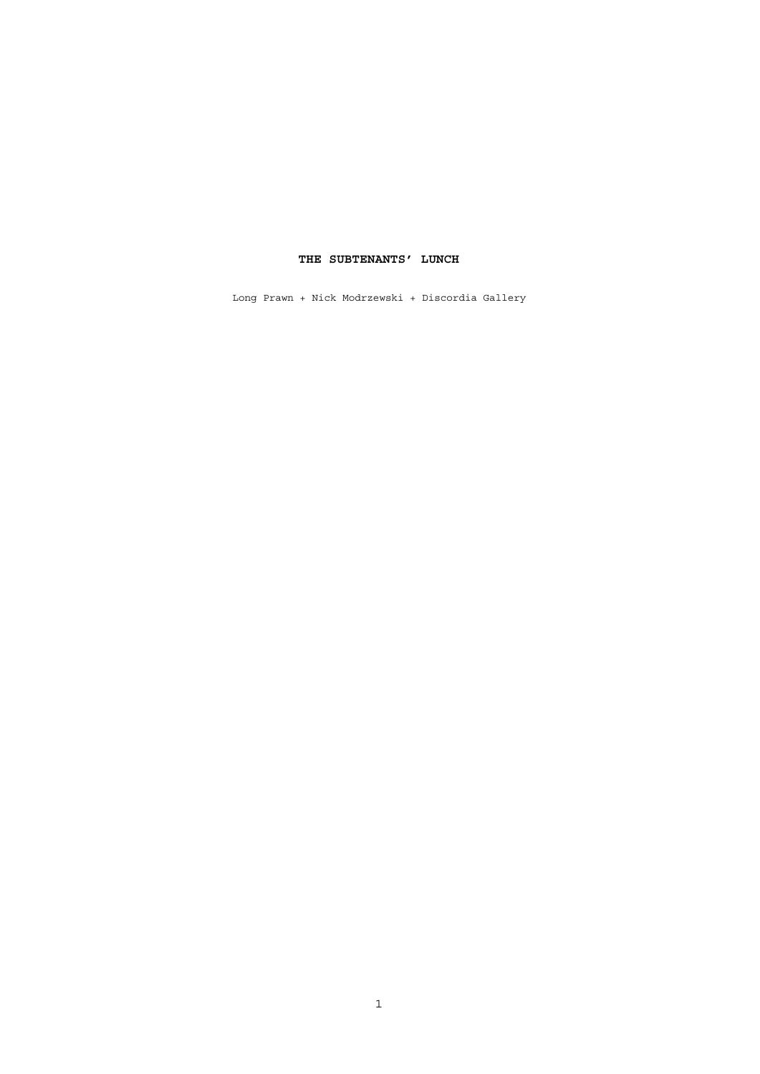# **THE SUBTENANTS' LUNCH**

Long Prawn + Nick Modrzewski + Discordia Gallery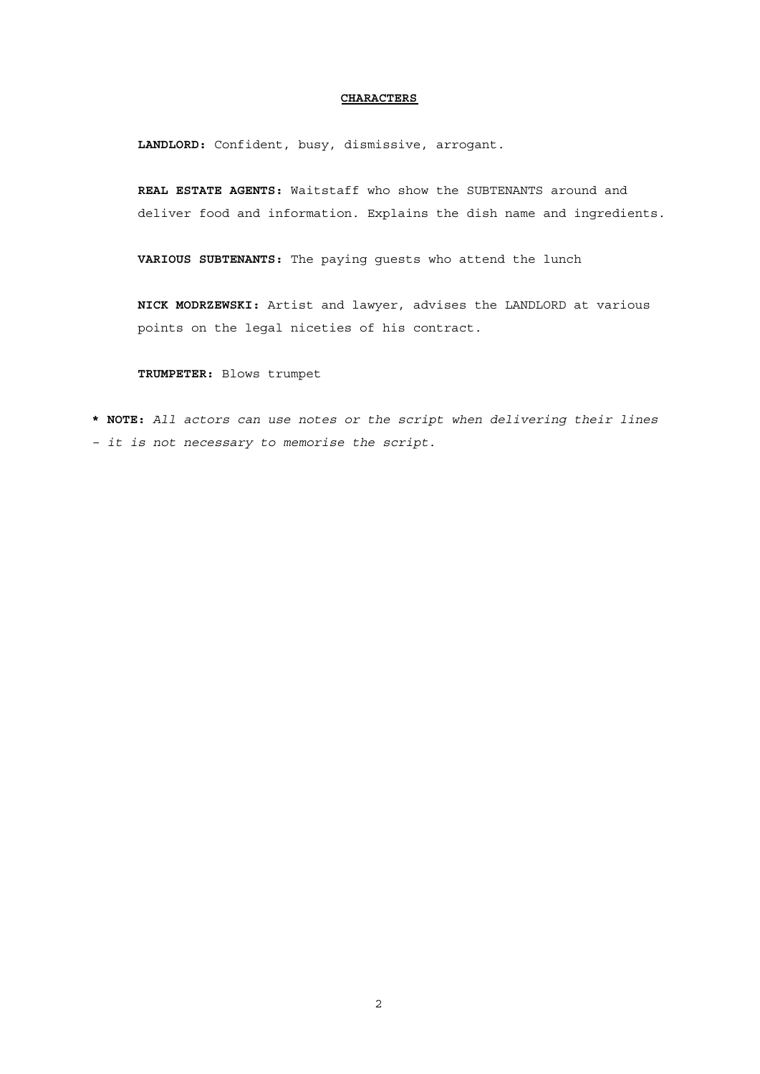## **CHARACTERS**

**LANDLORD:** Confident, busy, dismissive, arrogant.

**REAL ESTATE AGENTS:** Waitstaff who show the SUBTENANTS around and deliver food and information. Explains the dish name and ingredients.

**VARIOUS SUBTENANTS:** The paying guests who attend the lunch

**NICK MODRZEWSKI:** Artist and lawyer, advises the LANDLORD at various points on the legal niceties of his contract.

**TRUMPETER:** Blows trumpet

**\* NOTE:** *All actors can use notes or the script when delivering their lines – it is not necessary to memorise the script.*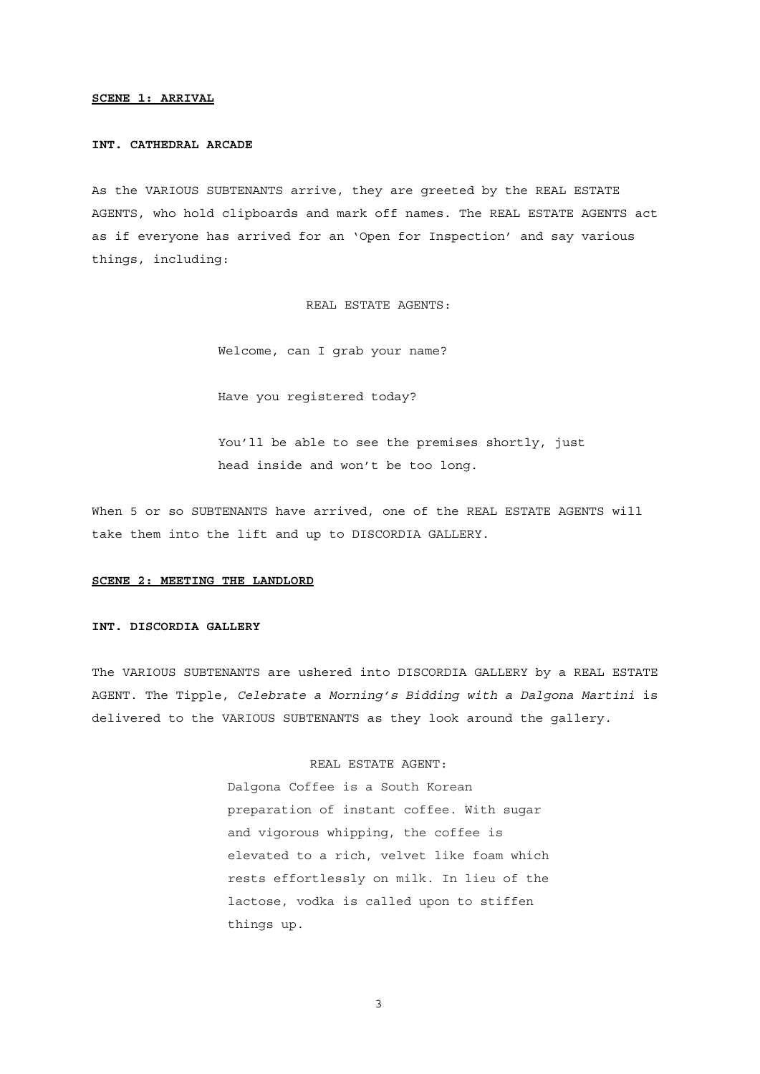### **SCENE 1: ARRIVAL**

#### **INT. CATHEDRAL ARCADE**

As the VARIOUS SUBTENANTS arrive, they are greeted by the REAL ESTATE AGENTS, who hold clipboards and mark off names. The REAL ESTATE AGENTS act as if everyone has arrived for an 'Open for Inspection' and say various things, including:

REAL ESTATE AGENTS:

Welcome, can I grab your name?

Have you registered today?

You'll be able to see the premises shortly, just head inside and won't be too long.

When 5 or so SUBTENANTS have arrived, one of the REAL ESTATE AGENTS will take them into the lift and up to DISCORDIA GALLERY.

#### **SCENE 2: MEETING THE LANDLORD**

#### **INT. DISCORDIA GALLERY**

The VARIOUS SUBTENANTS are ushered into DISCORDIA GALLERY by a REAL ESTATE AGENT. The Tipple, *Celebrate a Morning's Bidding with a Dalgona Martini* is delivered to the VARIOUS SUBTENANTS as they look around the gallery.

## REAL ESTATE AGENT:

Dalgona Coffee is a South Korean preparation of instant coffee. With sugar and vigorous whipping, the coffee is elevated to a rich, velvet like foam which rests effortlessly on milk. In lieu of the lactose, vodka is called upon to stiffen things up.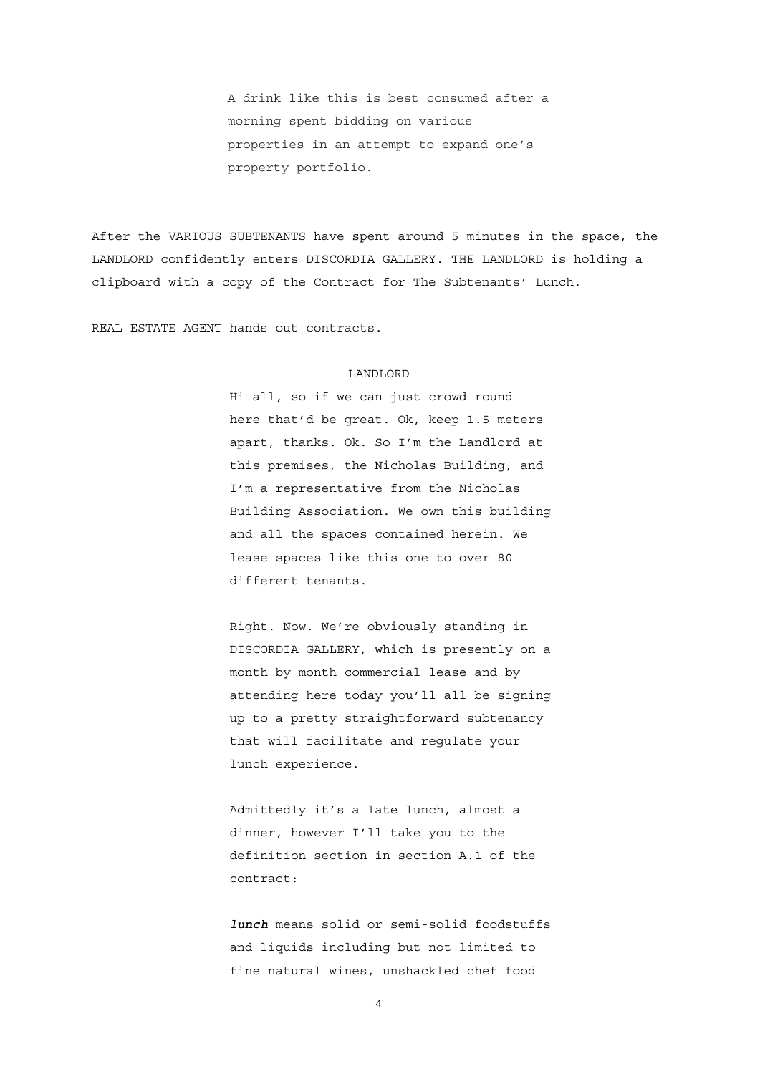A drink like this is best consumed after a morning spent bidding on various properties in an attempt to expand one's property portfolio.

After the VARIOUS SUBTENANTS have spent around 5 minutes in the space, the LANDLORD confidently enters DISCORDIA GALLERY. THE LANDLORD is holding a clipboard with a copy of the Contract for The Subtenants' Lunch.

REAL ESTATE AGENT hands out contracts.

#### LANDLORD

Hi all, so if we can just crowd round here that'd be great. Ok, keep 1.5 meters apart, thanks. Ok. So I'm the Landlord at this premises, the Nicholas Building, and I'm a representative from the Nicholas Building Association. We own this building and all the spaces contained herein. We lease spaces like this one to over 80 different tenants.

Right. Now. We're obviously standing in DISCORDIA GALLERY, which is presently on a month by month commercial lease and by attending here today you'll all be signing up to a pretty straightforward subtenancy that will facilitate and regulate your lunch experience.

Admittedly it's a late lunch, almost a dinner, however I'll take you to the definition section in section A.1 of the contract:

*lunch* means solid or semi-solid foodstuffs and liquids including but not limited to fine natural wines, unshackled chef food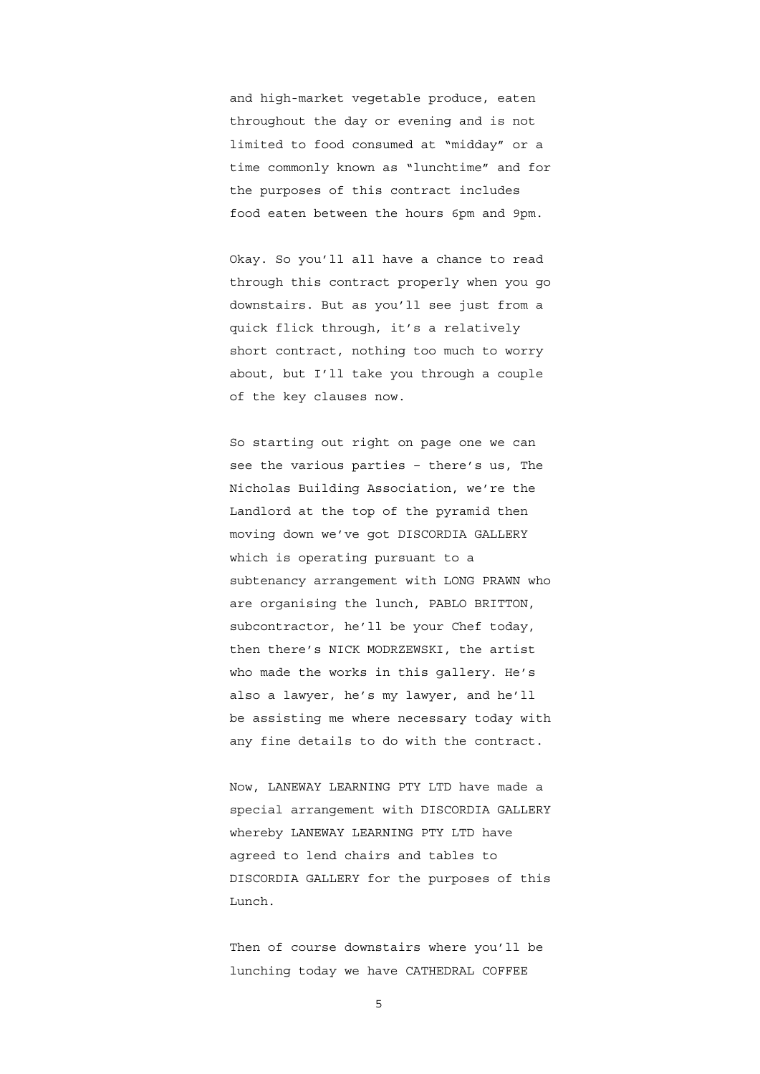and high-market vegetable produce, eaten throughout the day or evening and is not limited to food consumed at "midday" or a time commonly known as "lunchtime" and for the purposes of this contract includes food eaten between the hours 6pm and 9pm.

Okay. So you'll all have a chance to read through this contract properly when you go downstairs. But as you'll see just from a quick flick through, it's a relatively short contract, nothing too much to worry about, but I'll take you through a couple of the key clauses now.

So starting out right on page one we can see the various parties – there's us, The Nicholas Building Association, we're the Landlord at the top of the pyramid then moving down we've got DISCORDIA GALLERY which is operating pursuant to a subtenancy arrangement with LONG PRAWN who are organising the lunch, PABLO BRITTON, subcontractor, he'll be your Chef today, then there's NICK MODRZEWSKI, the artist who made the works in this gallery. He's also a lawyer, he's my lawyer, and he'll be assisting me where necessary today with any fine details to do with the contract.

Now, LANEWAY LEARNING PTY LTD have made a special arrangement with DISCORDIA GALLERY whereby LANEWAY LEARNING PTY LTD have agreed to lend chairs and tables to DISCORDIA GALLERY for the purposes of this Lunch.

Then of course downstairs where you'll be lunching today we have CATHEDRAL COFFEE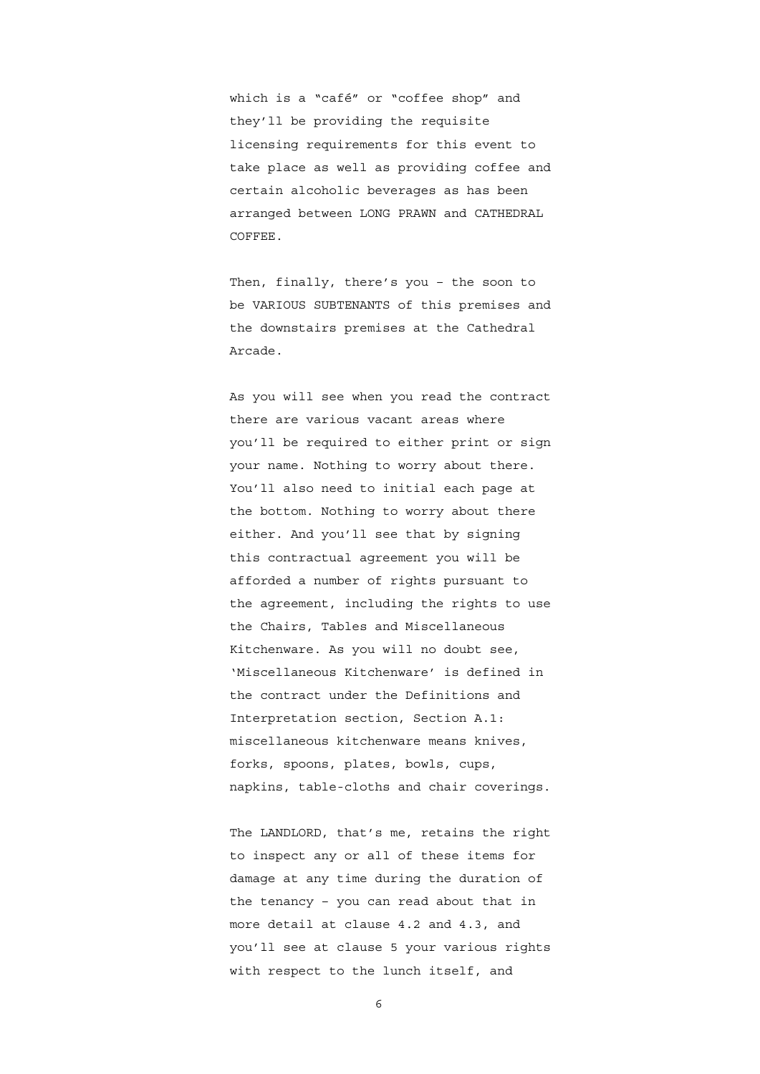which is a "café" or "coffee shop" and they'll be providing the requisite licensing requirements for this event to take place as well as providing coffee and certain alcoholic beverages as has been arranged between LONG PRAWN and CATHEDRAL COFFEE.

Then, finally, there's you – the soon to be VARIOUS SUBTENANTS of this premises and the downstairs premises at the Cathedral Arcade.

As you will see when you read the contract there are various vacant areas where you'll be required to either print or sign your name. Nothing to worry about there. You'll also need to initial each page at the bottom. Nothing to worry about there either. And you'll see that by signing this contractual agreement you will be afforded a number of rights pursuant to the agreement, including the rights to use the Chairs, Tables and Miscellaneous Kitchenware. As you will no doubt see, 'Miscellaneous Kitchenware' is defined in the contract under the Definitions and Interpretation section, Section A.1: miscellaneous kitchenware means knives, forks, spoons, plates, bowls, cups, napkins, table-cloths and chair coverings.

The LANDLORD, that's me, retains the right to inspect any or all of these items for damage at any time during the duration of the tenancy – you can read about that in more detail at clause 4.2 and 4.3, and you'll see at clause 5 your various rights with respect to the lunch itself, and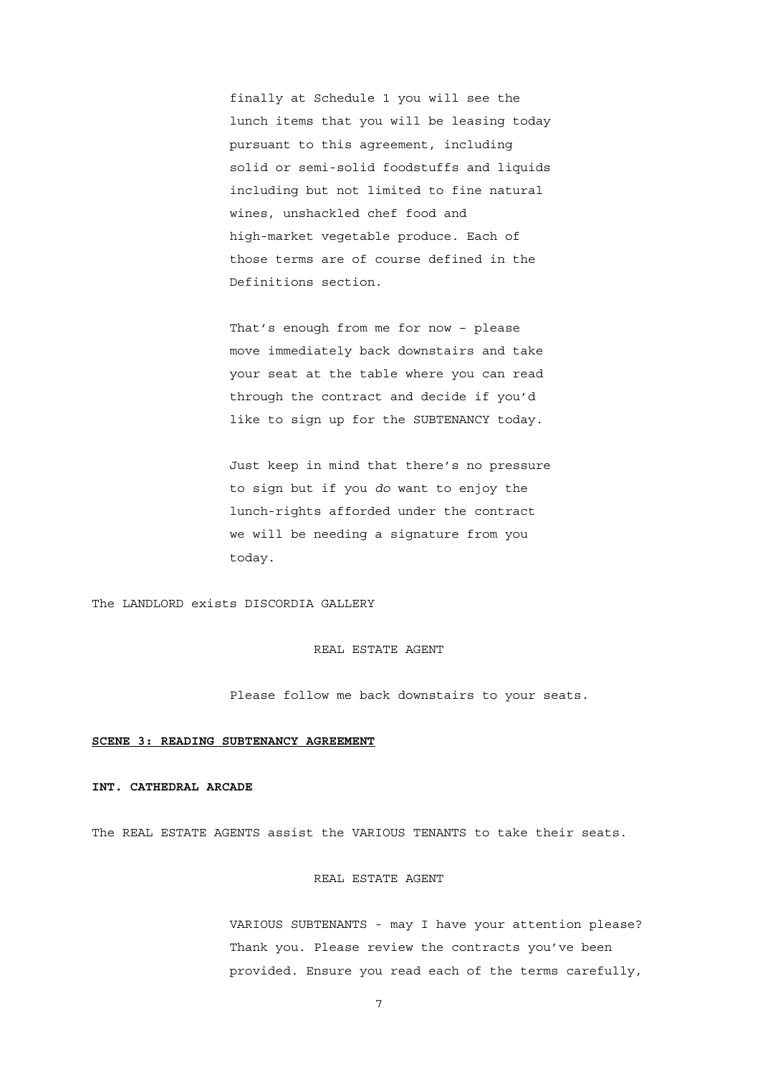finally at Schedule 1 you will see the lunch items that you will be leasing today pursuant to this agreement, including solid or semi-solid foodstuffs and liquids including but not limited to fine natural wines, unshackled chef food and high-market vegetable produce. Each of those terms are of course defined in the Definitions section.

That's enough from me for now – please move immediately back downstairs and take your seat at the table where you can read through the contract and decide if you'd like to sign up for the SUBTENANCY today.

Just keep in mind that there's no pressure to sign but if you *do* want to enjoy the lunch-rights afforded under the contract we will be needing a signature from you today.

The LANDLORD exists DISCORDIA GALLERY

#### REAL ESTATE AGENT

Please follow me back downstairs to your seats.

#### **SCENE 3: READING SUBTENANCY AGREEMENT**

### **INT. CATHEDRAL ARCADE**

The REAL ESTATE AGENTS assist the VARIOUS TENANTS to take their seats.

## REAL ESTATE AGENT

VARIOUS SUBTENANTS - may I have your attention please? Thank you. Please review the contracts you've been provided. Ensure you read each of the terms carefully,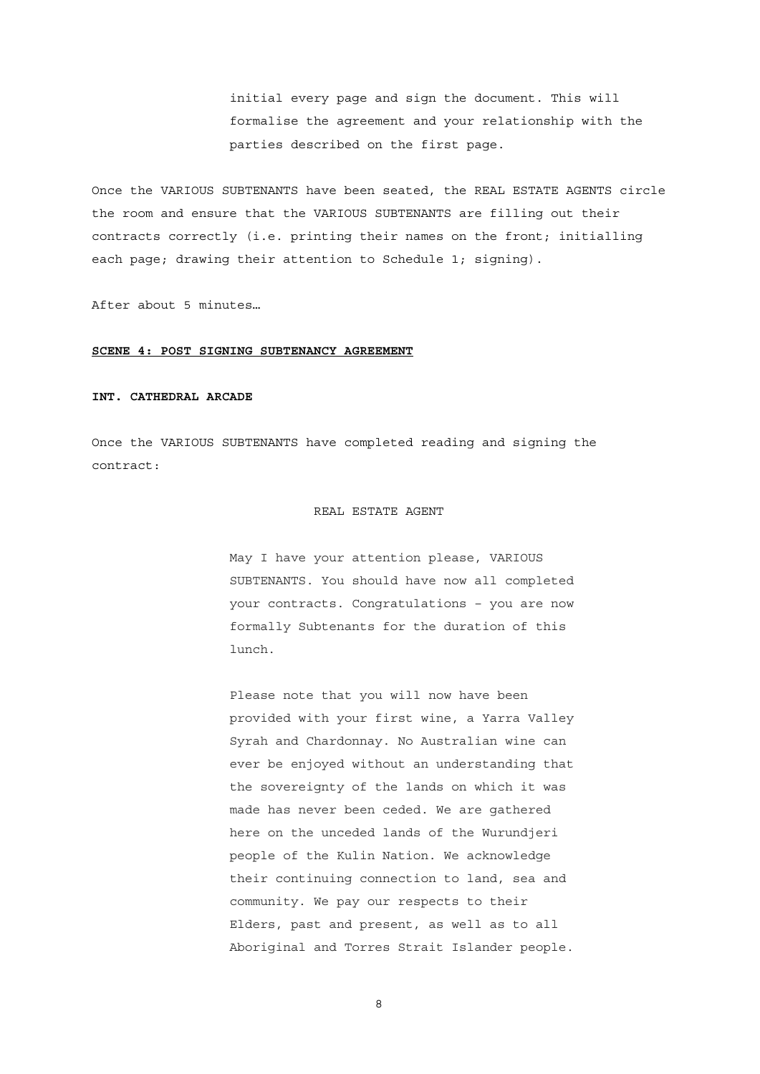initial every page and sign the document. This will formalise the agreement and your relationship with the parties described on the first page.

Once the VARIOUS SUBTENANTS have been seated, the REAL ESTATE AGENTS circle the room and ensure that the VARIOUS SUBTENANTS are filling out their contracts correctly (i.e. printing their names on the front; initialling each page; drawing their attention to Schedule 1; signing).

After about 5 minutes…

#### **SCENE 4: POST SIGNING SUBTENANCY AGREEMENT**

#### **INT. CATHEDRAL ARCADE**

Once the VARIOUS SUBTENANTS have completed reading and signing the contract:

#### REAL ESTATE AGENT

May I have your attention please, VARIOUS SUBTENANTS. You should have now all completed your contracts. Congratulations – you are now formally Subtenants for the duration of this lunch.

Please note that you will now have been provided with your first wine, a Yarra Valley Syrah and Chardonnay. No Australian wine can ever be enjoyed without an understanding that the sovereignty of the lands on which it was made has never been ceded. We are gathered here on the unceded lands of the Wurundjeri people of the Kulin Nation. We acknowledge their continuing connection to land, sea and community. We pay our respects to their Elders, past and present, as well as to all Aboriginal and Torres Strait Islander people.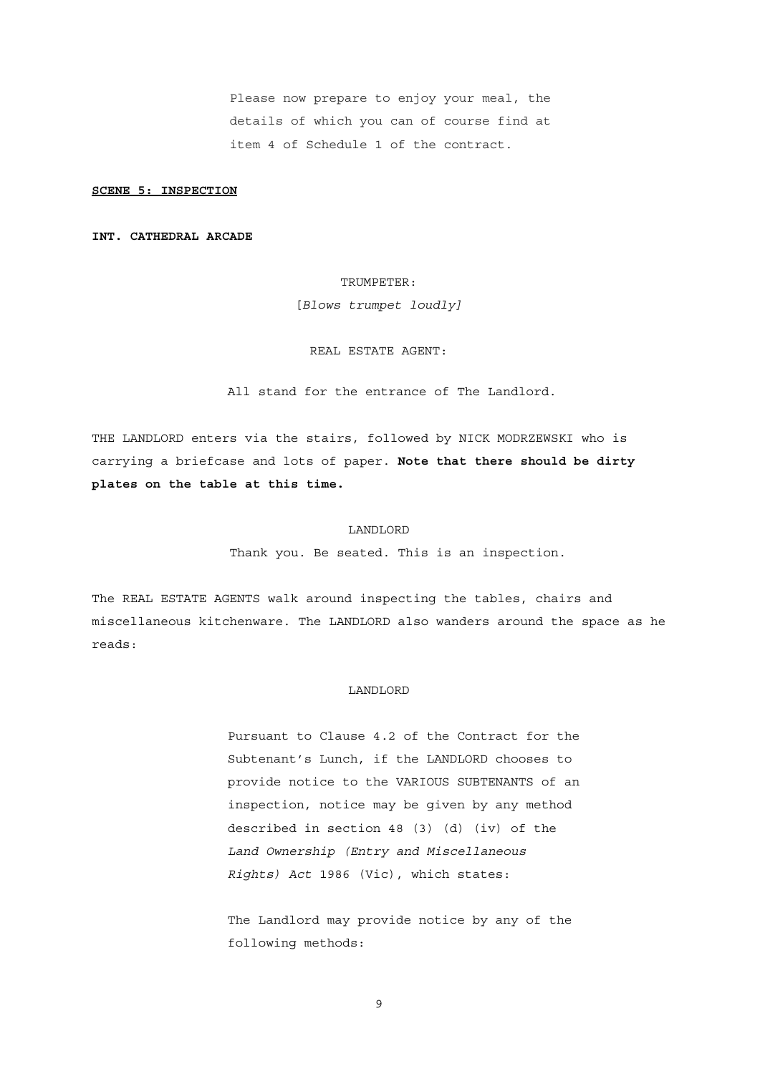Please now prepare to enjoy your meal, the details of which you can of course find at item 4 of Schedule 1 of the contract.

### **SCENE 5: INSPECTION**

### **INT. CATHEDRAL ARCADE**

### TRUMPETER:

[*Blows trumpet loudly]*

### REAL ESTATE AGENT:

All stand for the entrance of The Landlord.

THE LANDLORD enters via the stairs, followed by NICK MODRZEWSKI who is carrying a briefcase and lots of paper. **Note that there should be dirty plates on the table at this time.**

#### LANDLORD

Thank you. Be seated. This is an inspection.

The REAL ESTATE AGENTS walk around inspecting the tables, chairs and miscellaneous kitchenware. The LANDLORD also wanders around the space as he reads:

#### LANDLORD

Pursuant to Clause 4.2 of the Contract for the Subtenant's Lunch, if the LANDLORD chooses to provide notice to the VARIOUS SUBTENANTS of an inspection, notice may be given by any method described in section 48 (3) (d) (iv) of the *Land Ownership (Entry and Miscellaneous Rights) Act* 1986 (Vic), which states:

The Landlord may provide notice by any of the following methods: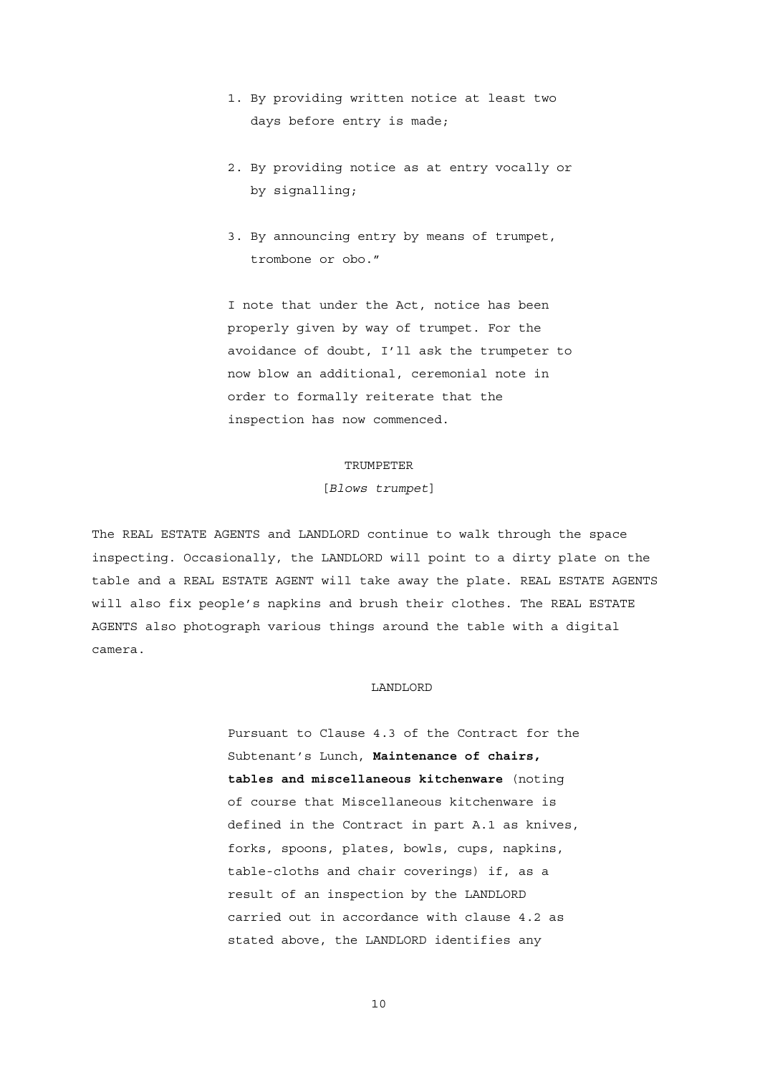- 1. By providing written notice at least two days before entry is made;
- 2. By providing notice as at entry vocally or by signalling;
- 3. By announcing entry by means of trumpet, trombone or obo."

I note that under the Act, notice has been properly given by way of trumpet. For the avoidance of doubt, I'll ask the trumpeter to now blow an additional, ceremonial note in order to formally reiterate that the inspection has now commenced.

## TRUMPETER

## [*Blows trumpet*]

The REAL ESTATE AGENTS and LANDLORD continue to walk through the space inspecting. Occasionally, the LANDLORD will point to a dirty plate on the table and a REAL ESTATE AGENT will take away the plate. REAL ESTATE AGENTS will also fix people's napkins and brush their clothes. The REAL ESTATE AGENTS also photograph various things around the table with a digital camera.

### LANDLORD

Pursuant to Clause 4.3 of the Contract for the Subtenant's Lunch, **Maintenance of chairs, tables and miscellaneous kitchenware** (noting of course that Miscellaneous kitchenware is defined in the Contract in part A.1 as knives, forks, spoons, plates, bowls, cups, napkins, table-cloths and chair coverings) if, as a result of an inspection by the LANDLORD carried out in accordance with clause 4.2 as stated above, the LANDLORD identifies any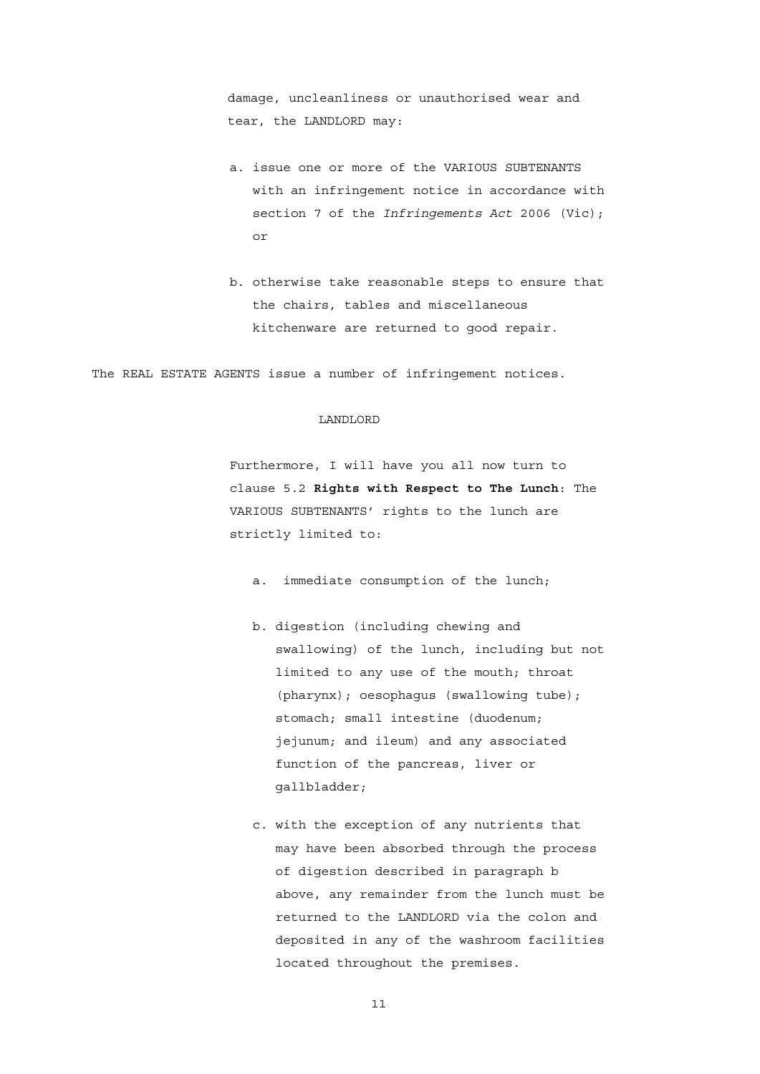damage, uncleanliness or unauthorised wear and tear, the LANDLORD may:

- a. issue one or more of the VARIOUS SUBTENANTS with an infringement notice in accordance with section 7 of the *Infringements Act* 2006 (Vic); or
- b. otherwise take reasonable steps to ensure that the chairs, tables and miscellaneous kitchenware are returned to good repair.

The REAL ESTATE AGENTS issue a number of infringement notices.

## LANDLORD

Furthermore, I will have you all now turn to clause 5.2 **Rights with Respect to The Lunch**: The VARIOUS SUBTENANTS' rights to the lunch are strictly limited to:

- a. immediate consumption of the lunch;
- b. digestion (including chewing and swallowing) of the lunch, including but not limited to any use of the mouth; throat (pharynx); oesophagus (swallowing tube); stomach; small intestine (duodenum; jejunum; and ileum) and any associated function of the pancreas, liver or gallbladder;
- c. with the exception of any nutrients that may have been absorbed through the process of digestion described in paragraph b above, any remainder from the lunch must be returned to the LANDLORD via the colon and deposited in any of the washroom facilities located throughout the premises.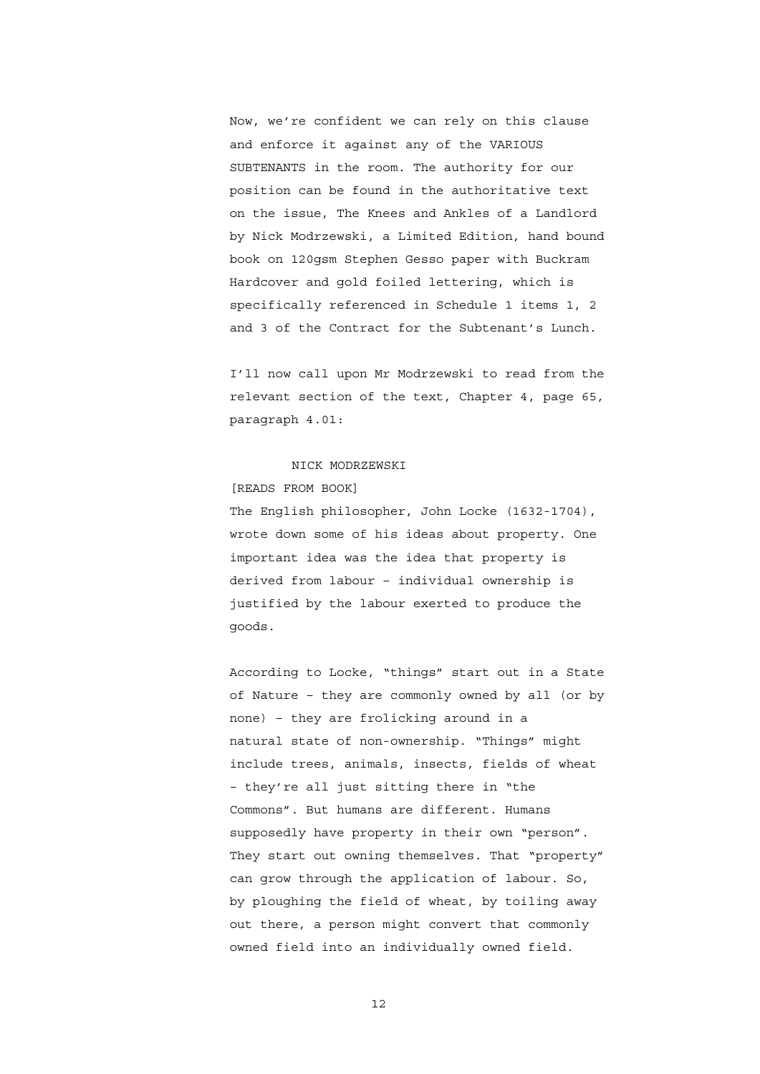Now, we're confident we can rely on this clause and enforce it against any of the VARIOUS SUBTENANTS in the room. The authority for our position can be found in the authoritative text on the issue, The Knees and Ankles of a Landlord by Nick Modrzewski, a Limited Edition, hand bound book on 120gsm Stephen Gesso paper with Buckram Hardcover and gold foiled lettering, which is specifically referenced in Schedule 1 items 1, 2 and 3 of the Contract for the Subtenant's Lunch.

I'll now call upon Mr Modrzewski to read from the relevant section of the text, Chapter 4, page 65, paragraph 4.01:

#### NICK MODRZEWSKI

## [READS FROM BOOK]

The English philosopher, John Locke (1632-1704), wrote down some of his ideas about property. One important idea was the idea that property is derived from labour – individual ownership is justified by the labour exerted to produce the goods.

According to Locke, "things" start out in a State of Nature – they are commonly owned by all (or by none) – they are frolicking around in a natural state of non-ownership. "Things" might include trees, animals, insects, fields of wheat – they're all just sitting there in "the Commons". But humans are different. Humans supposedly have property in their own "person". They start out owning themselves. That "property" can grow through the application of labour. So, by ploughing the field of wheat, by toiling away out there, a person might convert that commonly owned field into an individually owned field.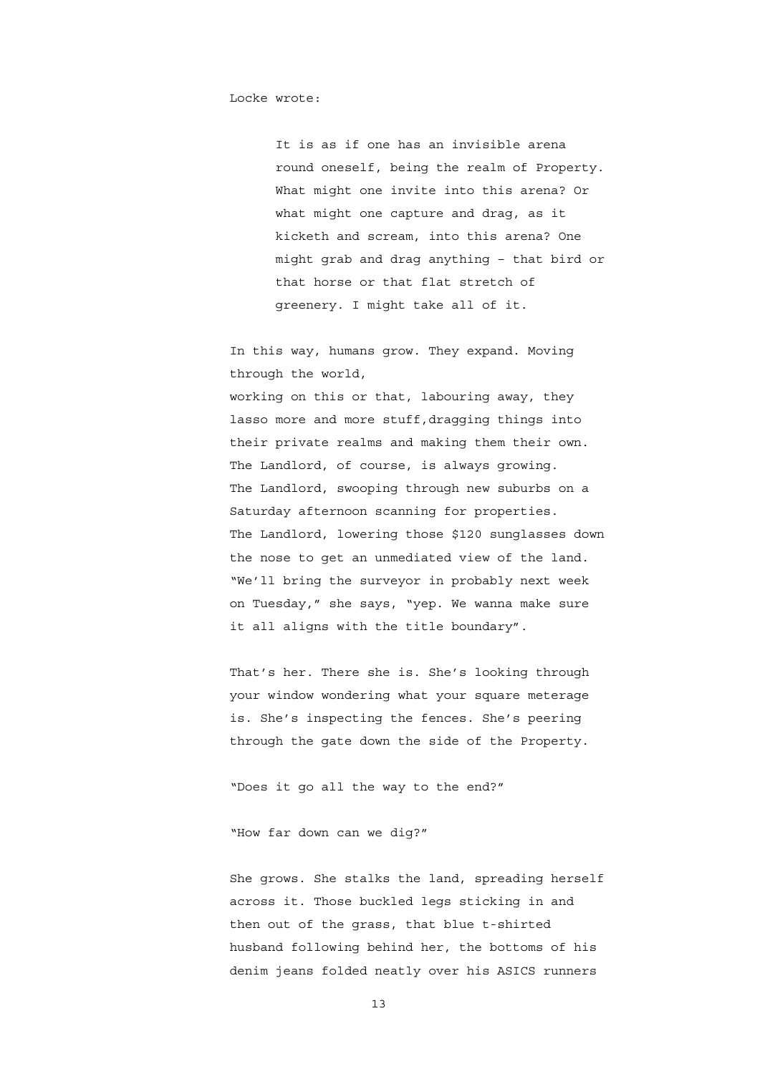Locke wrote:

It is as if one has an invisible arena round oneself, being the realm of Property. What might one invite into this arena? Or what might one capture and drag, as it kicketh and scream, into this arena? One might grab and drag anything – that bird or that horse or that flat stretch of greenery. I might take all of it.

In this way, humans grow. They expand. Moving through the world,

working on this or that, labouring away, they lasso more and more stuff,dragging things into their private realms and making them their own. The Landlord, of course, is always growing. The Landlord, swooping through new suburbs on a Saturday afternoon scanning for properties. The Landlord, lowering those \$120 sunglasses down the nose to get an unmediated view of the land. "We'll bring the surveyor in probably next week on Tuesday," she says, "yep. We wanna make sure it all aligns with the title boundary".

That's her. There she is. She's looking through your window wondering what your square meterage is. She's inspecting the fences. She's peering through the gate down the side of the Property.

"Does it go all the way to the end?"

"How far down can we dig?"

She grows. She stalks the land, spreading herself across it. Those buckled legs sticking in and then out of the grass, that blue t-shirted husband following behind her, the bottoms of his denim jeans folded neatly over his ASICS runners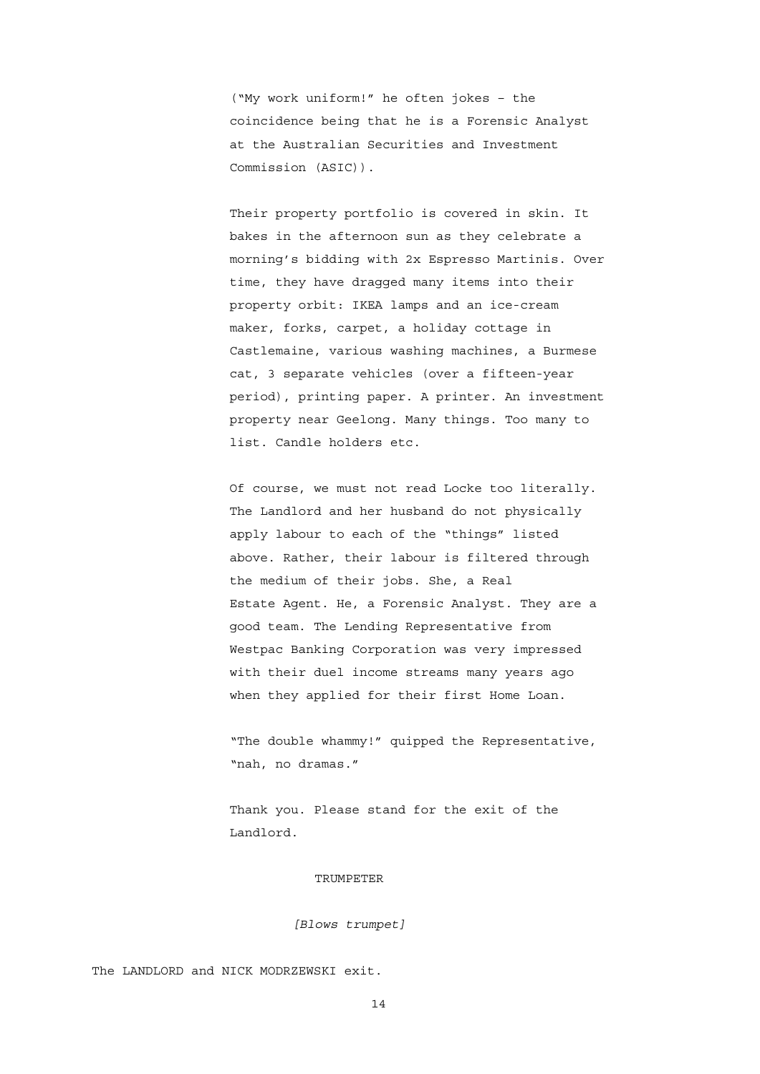("My work uniform!" he often jokes – the coincidence being that he is a Forensic Analyst at the Australian Securities and Investment Commission (ASIC)).

Their property portfolio is covered in skin. It bakes in the afternoon sun as they celebrate a morning's bidding with 2x Espresso Martinis. Over time, they have dragged many items into their property orbit: IKEA lamps and an ice-cream maker, forks, carpet, a holiday cottage in Castlemaine, various washing machines, a Burmese cat, 3 separate vehicles (over a fifteen-year period), printing paper. A printer. An investment property near Geelong. Many things. Too many to list. Candle holders etc.

Of course, we must not read Locke too literally. The Landlord and her husband do not physically apply labour to each of the "things" listed above. Rather, their labour is filtered through the medium of their jobs. She, a Real Estate Agent. He, a Forensic Analyst. They are a good team. The Lending Representative from Westpac Banking Corporation was very impressed with their duel income streams many years ago when they applied for their first Home Loan.

"The double whammy!" quipped the Representative, "nah, no dramas."

Thank you. Please stand for the exit of the Landlord.

#### TRUMPETER

*[Blows trumpet]*

The LANDLORD and NICK MODRZEWSKI exit.